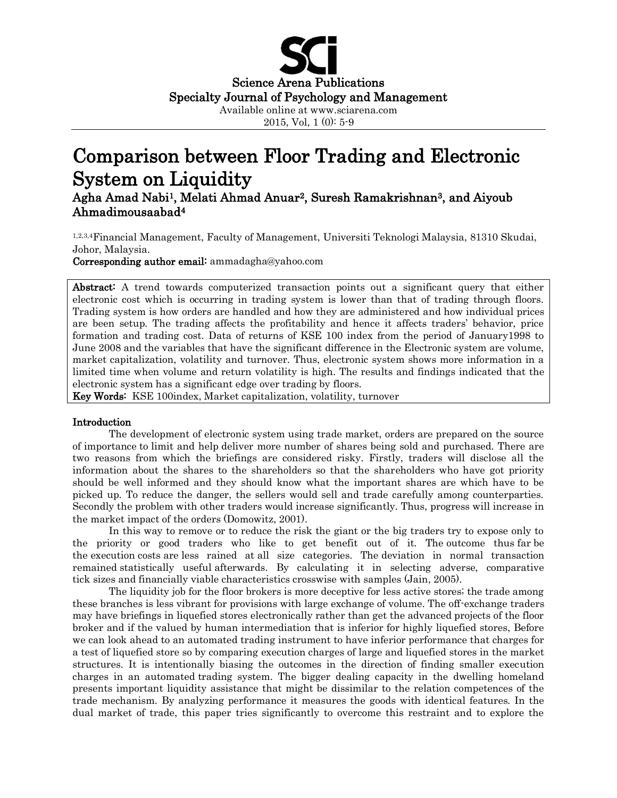

2015, Vol, 1 (0): 5-9

# Comparison between Floor Trading and Electronic System on Liquidity

Agha Amad Nabi1, Melati Ahmad Anuar2, Suresh Ramakrishnan3, and Aiyoub Ahmadimousaabad<sup>4</sup>

1,2,3,4Financial Management, Faculty of Management, Universiti Teknologi Malaysia, 81310 Skudai, Johor, Malaysia.

Corresponding author email: ammadagha@yahoo.com

Abstract: A trend towards computerized transaction points out a significant query that either electronic cost which is occurring in trading system is lower than that of trading through floors. Trading system is how orders are handled and how they are administered and how individual prices are been setup. The trading affects the profitability and hence it affects traders' behavior, price formation and trading cost. Data of returns of KSE 100 index from the period of January1998 to June 2008 and the variables that have the significant difference in the Electronic system are volume, market capitalization, volatility and turnover. Thus, electronic system shows more information in a limited time when volume and return volatility is high. The results and findings indicated that the electronic system has a significant edge over trading by floors.

Key Words: KSE 100index, Market capitalization, volatility, turnover

## Introduction

The development of electronic system using trade market, orders are prepared on the source of importance to limit and help deliver more number of shares being sold and purchased. There are two reasons from which the briefings are considered risky. Firstly, traders will disclose all the information about the shares to the shareholders so that the shareholders who have got priority should be well informed and they should know what the important shares are which have to be picked up. To reduce the danger, the sellers would sell and trade carefully among counterparties. Secondly the problem with other traders would increase significantly. Thus, progress will increase in the market impact of the orders (Domowitz, 2001).

In this way to remove or to reduce the risk the giant or the big traders try to expose only to the priority or good traders who like to get benefit out of it. The outcome thus far be the execution costs are less rained at all size categories. The deviation in normal transaction remained statistically useful afterwards. By calculating it in selecting adverse, comparative tick sizes and financially viable characteristics crosswise with samples (Jain, 2005).

The liquidity job for the floor brokers is more deceptive for less active stores; the trade among these branches is less vibrant for provisions with large exchange of volume. The off-exchange traders may have briefings in liquefied stores electronically rather than get the advanced projects of the floor broker and if the valued by human intermediation that is inferior for highly liquefied stores, Before we can look ahead to an automated trading instrument to have inferior performance that charges for a test of liquefied store so by comparing execution charges of large and liquefied stores in the market structures. It is intentionally biasing the outcomes in the direction of finding smaller execution charges in an automated trading system. The bigger dealing capacity in the dwelling homeland presents important liquidity assistance that might be dissimilar to the relation competences of the trade mechanism. By analyzing performance it measures the goods with identical features. In the dual market of trade, this paper tries significantly to overcome this restraint and to explore the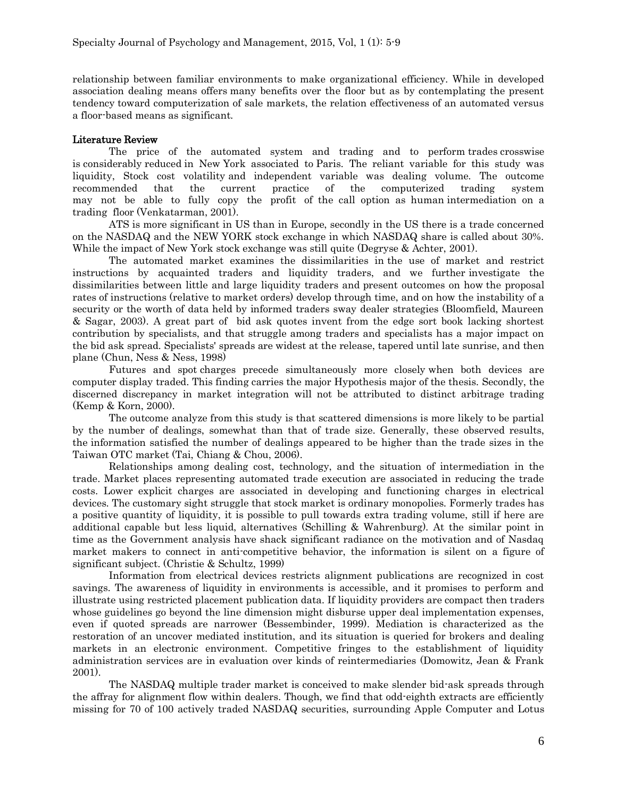relationship between familiar environments to make organizational efficiency. While in developed association dealing means offers many benefits over the floor but as by contemplating the present tendency toward computerization of sale markets, the relation effectiveness of an automated versus a floor-based means as significant.

# Literature Review

The price of the automated system and trading and to perform trades crosswise is considerably reduced in New York associated to Paris. The reliant variable for this study was liquidity, Stock cost volatility and independent variable was dealing volume. The outcome recommended that the current practice of the computerized trading system may not be able to fully copy the profit of the call option as human intermediation on a trading floor (Venkatarman, 2001).

ATS is more significant in US than in Europe, secondly in the US there is a trade concerned on the NASDAQ and the NEW YORK stock exchange in which NASDAQ share is called about 30%. While the impact of New York stock exchange was still quite (Degryse & Achter, 2001).

The automated market examines the dissimilarities in the use of market and restrict instructions by acquainted traders and liquidity traders, and we further investigate the dissimilarities between little and large liquidity traders and present outcomes on how the proposal rates of instructions (relative to market orders) develop through time, and on how the instability of a security or the worth of data held by informed traders sway dealer strategies (Bloomfield, Maureen & Sagar, 2003). A great part of bid ask quotes invent from the edge sort book lacking shortest contribution by specialists, and that struggle among traders and specialists has a major impact on the bid ask spread. Specialists' spreads are widest at the release, tapered until late sunrise, and then plane (Chun, Ness & Ness, 1998)

Futures and spot charges precede simultaneously more closely when both devices are computer display traded. This finding carries the major Hypothesis major of the thesis. Secondly, the discerned discrepancy in market integration will not be attributed to distinct arbitrage trading (Kemp & Korn, 2000).

The outcome analyze from this study is that scattered dimensions is more likely to be partial by the number of dealings, somewhat than that of trade size. Generally, these observed results, the information satisfied the number of dealings appeared to be higher than the trade sizes in the Taiwan OTC market (Tai, Chiang & Chou, 2006).

Relationships among dealing cost, technology, and the situation of intermediation in the trade. Market places representing automated trade execution are associated in reducing the trade costs. Lower explicit charges are associated in developing and functioning charges in electrical devices. The customary sight struggle that stock market is ordinary monopolies. Formerly trades has a positive quantity of liquidity, it is possible to pull towards extra trading volume, still if here are additional capable but less liquid, alternatives (Schilling & Wahrenburg). At the similar point in time as the Government analysis have shack significant radiance on the motivation and of Nasdaq market makers to connect in anti-competitive behavior, the information is silent on a figure of significant subject. (Christie & Schultz, 1999)

Information from electrical devices restricts alignment publications are recognized in cost savings. The awareness of liquidity in environments is accessible, and it promises to perform and illustrate using restricted placement publication data. If liquidity providers are compact then traders whose guidelines go beyond the line dimension might disburse upper deal implementation expenses, even if quoted spreads are narrower (Bessembinder, 1999). Mediation is characterized as the restoration of an uncover mediated institution, and its situation is queried for brokers and dealing markets in an electronic environment. Competitive fringes to the establishment of liquidity administration services are in evaluation over kinds of reintermediaries (Domowitz, Jean & Frank 2001).

The NASDAQ multiple trader market is conceived to make slender bid-ask spreads through the affray for alignment flow within dealers. Though, we find that odd-eighth extracts are efficiently missing for 70 of 100 actively traded NASDAQ securities, surrounding Apple Computer and Lotus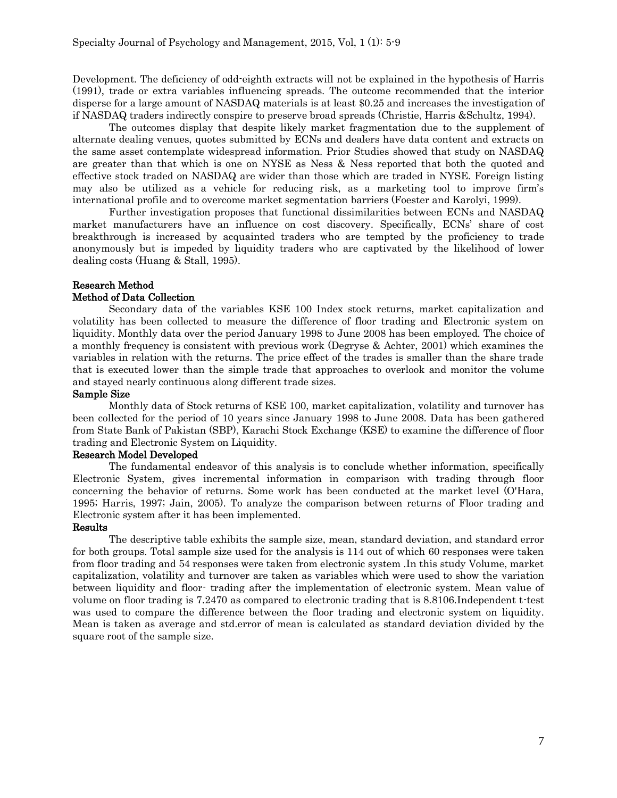Development. The deficiency of odd-eighth extracts will not be explained in the hypothesis of Harris (1991), trade or extra variables influencing spreads. The outcome recommended that the interior disperse for a large amount of NASDAQ materials is at least \$0.25 and increases the investigation of if NASDAQ traders indirectly conspire to preserve broad spreads (Christie, Harris &Schultz, 1994).

The outcomes display that despite likely market fragmentation due to the supplement of alternate dealing venues, quotes submitted by ECNs and dealers have data content and extracts on the same asset contemplate widespread information. Prior Studies showed that study on NASDAQ are greater than that which is one on NYSE as Ness & Ness reported that both the quoted and effective stock traded on NASDAQ are wider than those which are traded in NYSE. Foreign listing may also be utilized as a vehicle for reducing risk, as a marketing tool to improve firm's international profile and to overcome market segmentation barriers (Foester and Karolyi, 1999).

Further investigation proposes that functional dissimilarities between ECNs and NASDAQ market manufacturers have an influence on cost discovery. Specifically, ECNs' share of cost breakthrough is increased by acquainted traders who are tempted by the proficiency to trade anonymously but is impeded by liquidity traders who are captivated by the likelihood of lower dealing costs (Huang & Stall, 1995).

# Research Method

## Method of Data Collection

Secondary data of the variables KSE 100 Index stock returns, market capitalization and volatility has been collected to measure the difference of floor trading and Electronic system on liquidity. Monthly data over the period January 1998 to June 2008 has been employed. The choice of a monthly frequency is consistent with previous work (Degryse & Achter, 2001) which examines the variables in relation with the returns. The price effect of the trades is smaller than the share trade that is executed lower than the simple trade that approaches to overlook and monitor the volume and stayed nearly continuous along different trade sizes.

#### Sample Size

Monthly data of Stock returns of KSE 100, market capitalization, volatility and turnover has been collected for the period of 10 years since January 1998 to June 2008. Data has been gathered from State Bank of Pakistan (SBP), Karachi Stock Exchange (KSE) to examine the difference of floor trading and Electronic System on Liquidity.

## Research Model Developed

The fundamental endeavor of this analysis is to conclude whether information, specifically Electronic System, gives incremental information in comparison with trading through floor concerning the behavior of returns. Some work has been conducted at the market level (O'Hara, 1995; Harris, 1997; Jain, 2005). To analyze the comparison between returns of Floor trading and Electronic system after it has been implemented.

#### Results

The descriptive table exhibits the sample size, mean, standard deviation, and standard error for both groups. Total sample size used for the analysis is 114 out of which 60 responses were taken from floor trading and 54 responses were taken from electronic system .In this study Volume, market capitalization, volatility and turnover are taken as variables which were used to show the variation between liquidity and floor- trading after the implementation of electronic system. Mean value of volume on floor trading is 7.2470 as compared to electronic trading that is 8.8106.Independent t-test was used to compare the difference between the floor trading and electronic system on liquidity. Mean is taken as average and std.error of mean is calculated as standard deviation divided by the square root of the sample size.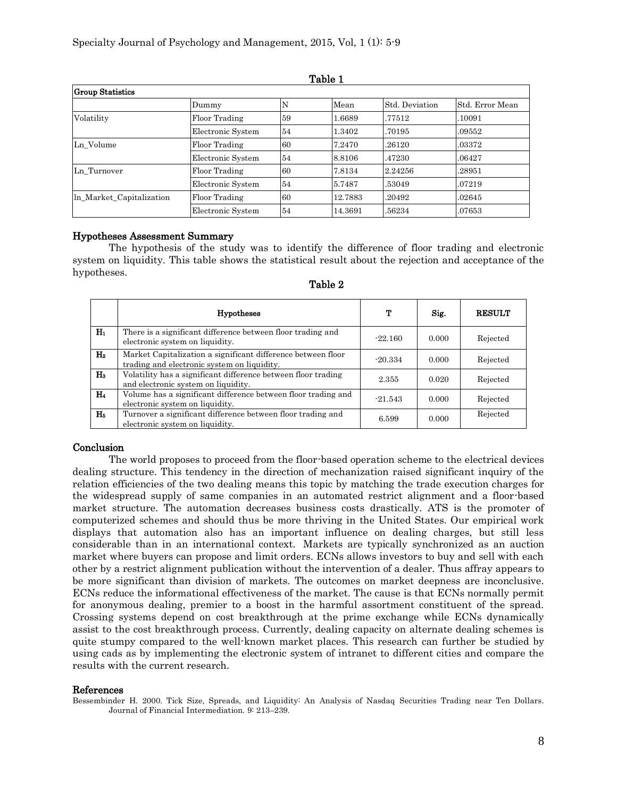| <b>Group Statistics</b>  |                   |    |         |                |                 |  |  |  |
|--------------------------|-------------------|----|---------|----------------|-----------------|--|--|--|
|                          | Dummy             | N  | Mean    | Std. Deviation | Std. Error Mean |  |  |  |
| Volatility               | Floor Trading     | 59 | 1.6689  | .77512         | 10091           |  |  |  |
|                          | Electronic System | 54 | 1.3402  | .70195         | .09552          |  |  |  |
| Ln Volume                | Floor Trading     | 60 | 7.2470  | .26120         | .03372          |  |  |  |
|                          | Electronic System | 54 | 8.8106  | .47230         | .06427          |  |  |  |
| Ln_Turnover              | Floor Trading     | 60 | 7.8134  | 2.24256        | .28951          |  |  |  |
|                          | Electronic System | 54 | 5.7487  | .53049         | .07219          |  |  |  |
| In Market Capitalization | Floor Trading     | 60 | 12.7883 | .20492         | .02645          |  |  |  |
|                          | Electronic System | 54 | 14.3691 | .56234         | .07653          |  |  |  |

#### Table 1

## Hypotheses Assessment Summary

The hypothesis of the study was to identify the difference of floor trading and electronic system on liquidity. This table shows the statistical result about the rejection and acceptance of the hypotheses.

|              | <b>Hypotheses</b>                                                                                           | т         | Sig.  | <b>RESULT</b> |
|--------------|-------------------------------------------------------------------------------------------------------------|-----------|-------|---------------|
| $H_1$        | There is a significant difference between floor trading and<br>electronic system on liquidity.              | $-22.160$ | 0.000 | Rejected      |
| $\rm{H}_{2}$ | Market Capitalization a significant difference between floor<br>trading and electronic system on liquidity. | $-20.334$ | 0.000 | Rejected      |
| Ha           | Volatility has a significant difference between floor trading<br>and electronic system on liquidity.        | 2.355     | 0.020 | Rejected      |
| $H_4$        | Volume has a significant difference between floor trading and<br>electronic system on liquidity.            | $-21.543$ | 0.000 | Rejected      |
| $\rm{H}_{5}$ | Turnover a significant difference between floor trading and<br>electronic system on liquidity.              | 6.599     | 0.000 | Rejected      |

| 'able |  |
|-------|--|
|-------|--|

## Conclusion

The world proposes to proceed from the floor-based operation scheme to the electrical devices dealing structure. This tendency in the direction of mechanization raised significant inquiry of the relation efficiencies of the two dealing means this topic by matching the trade execution charges for the widespread supply of same companies in an automated restrict alignment and a floor-based market structure. The automation decreases business costs drastically. ATS is the promoter of computerized schemes and should thus be more thriving in the United States. Our empirical work displays that automation also has an important influence on dealing charges, but still less considerable than in an international context. Markets are typically synchronized as an auction market where buyers can propose and limit orders. ECNs allows investors to buy and sell with each other by a restrict alignment publication without the intervention of a dealer. Thus affray appears to be more significant than division of markets. The outcomes on market deepness are inconclusive. ECNs reduce the informational effectiveness of the market. The cause is that ECNs normally permit for anonymous dealing, premier to a boost in the harmful assortment constituent of the spread. Crossing systems depend on cost breakthrough at the prime exchange while ECNs dynamically assist to the cost breakthrough process. Currently, dealing capacity on alternate dealing schemes is quite stumpy compared to the well-known market places. This research can further be studied by using cads as by implementing the electronic system of intranet to different cities and compare the results with the current research.

## References

Bessembinder H. 2000. Tick Size, Spreads, and Liquidity: An Analysis of Nasdaq Securities Trading near Ten Dollars. Journal of Financial Intermediation. 9: 213–239.